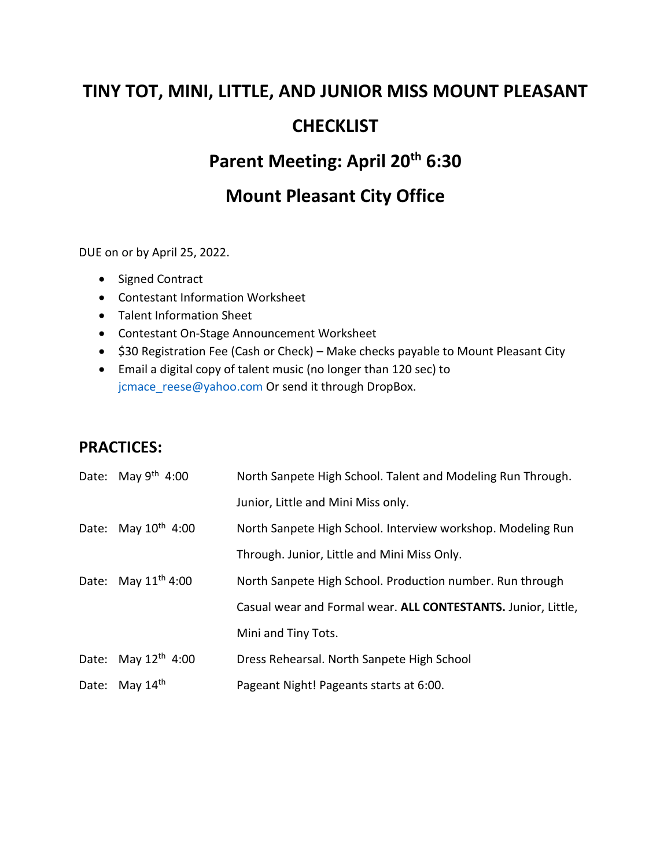# **TINY TOT, MINI, LITTLE, AND JUNIOR MISS MOUNT PLEASANT CHECKLIST**

## **Parent Meeting: April 20th 6:30**

## **Mount Pleasant City Office**

DUE on or by April 25, 2022.

- Signed Contract
- Contestant Information Worksheet
- Talent Information Sheet
- Contestant On-Stage Announcement Worksheet
- \$30 Registration Fee (Cash or Check) Make checks payable to Mount Pleasant City
- Email a digital copy of talent music (no longer than 120 sec) to jcmace reese@yahoo.com Or send it through DropBox.

## **PRACTICES:**

| Date: May $9th$ 4:00     | North Sanpete High School. Talent and Modeling Run Through.   |
|--------------------------|---------------------------------------------------------------|
|                          | Junior, Little and Mini Miss only.                            |
| Date: May $10^{th}$ 4:00 | North Sanpete High School. Interview workshop. Modeling Run   |
|                          | Through. Junior, Little and Mini Miss Only.                   |
| Date: May $11^{th}$ 4:00 | North Sanpete High School. Production number. Run through     |
|                          | Casual wear and Formal wear. ALL CONTESTANTS. Junior, Little, |
|                          | Mini and Tiny Tots.                                           |
| Date: May $12th$ 4:00    | Dress Rehearsal. North Sanpete High School                    |
| Date: May 14th           | Pageant Night! Pageants starts at 6:00.                       |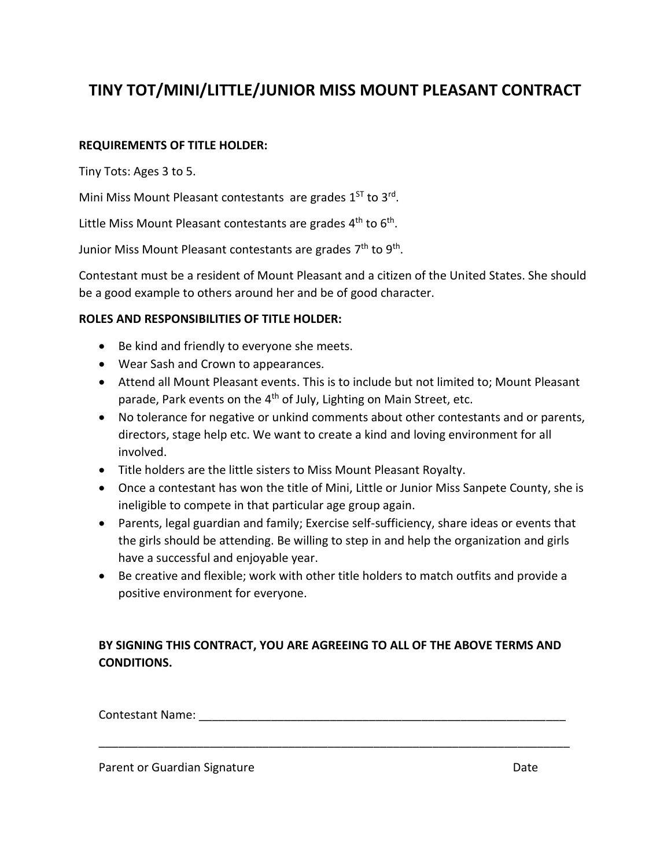## **TINY TOT/MINI/LITTLE/JUNIOR MISS MOUNT PLEASANT CONTRACT**

#### **REQUIREMENTS OF TITLE HOLDER:**

Tiny Tots: Ages 3 to 5.

Mini Miss Mount Pleasant contestants are grades 1<sup>ST</sup> to 3<sup>rd</sup>.

Little Miss Mount Pleasant contestants are grades 4<sup>th</sup> to 6<sup>th</sup>.

Junior Miss Mount Pleasant contestants are grades 7<sup>th</sup> to 9<sup>th</sup>.

Contestant must be a resident of Mount Pleasant and a citizen of the United States. She should be a good example to others around her and be of good character.

#### **ROLES AND RESPONSIBILITIES OF TITLE HOLDER:**

- Be kind and friendly to everyone she meets.
- Wear Sash and Crown to appearances.
- Attend all Mount Pleasant events. This is to include but not limited to; Mount Pleasant parade, Park events on the 4<sup>th</sup> of July, Lighting on Main Street, etc.
- No tolerance for negative or unkind comments about other contestants and or parents, directors, stage help etc. We want to create a kind and loving environment for all involved.
- Title holders are the little sisters to Miss Mount Pleasant Royalty.
- Once a contestant has won the title of Mini, Little or Junior Miss Sanpete County, she is ineligible to compete in that particular age group again.
- Parents, legal guardian and family; Exercise self-sufficiency, share ideas or events that the girls should be attending. Be willing to step in and help the organization and girls have a successful and enjoyable year.
- Be creative and flexible; work with other title holders to match outfits and provide a positive environment for everyone.

#### **BY SIGNING THIS CONTRACT, YOU ARE AGREEING TO ALL OF THE ABOVE TERMS AND CONDITIONS.**

 $\textsf{Contextant Name:}\footnotesize$ 

\_\_\_\_\_\_\_\_\_\_\_\_\_\_\_\_\_\_\_\_\_\_\_\_\_\_\_\_\_\_\_\_\_\_\_\_\_\_\_\_\_\_\_\_\_\_\_\_\_\_\_\_\_\_\_\_\_\_\_\_\_\_\_\_\_\_\_\_\_\_\_\_

Parent or Guardian Signature **Date of Contract Contract Contract Contract Contract Contract Contract Contract Contract Contract Contract Contract Contract Contract Contract Contract Contract Contract Contract Contract Cont**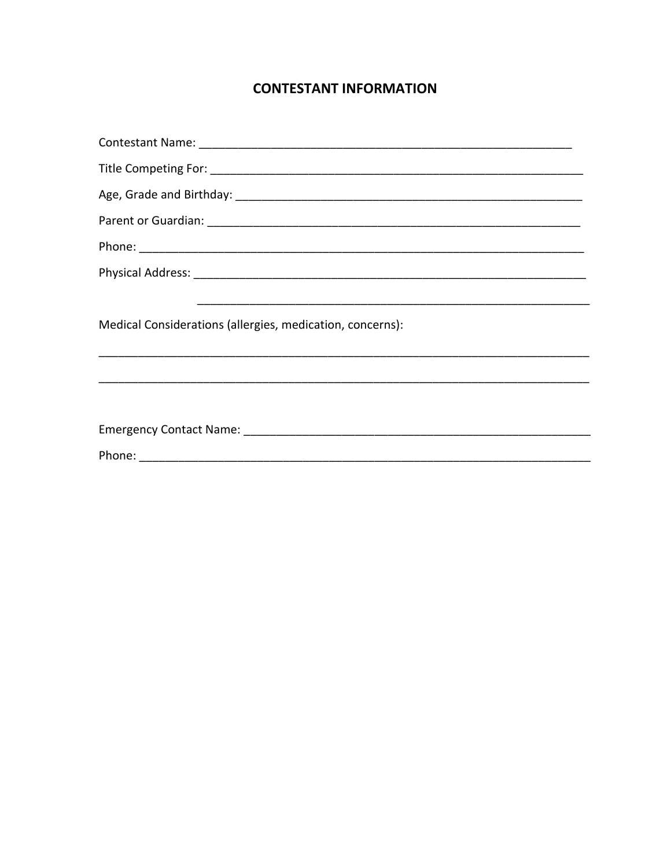### **CONTESTANT INFORMATION**

| Medical Considerations (allergies, medication, concerns): |  |  |  |  |
|-----------------------------------------------------------|--|--|--|--|
|                                                           |  |  |  |  |
|                                                           |  |  |  |  |
|                                                           |  |  |  |  |
|                                                           |  |  |  |  |
|                                                           |  |  |  |  |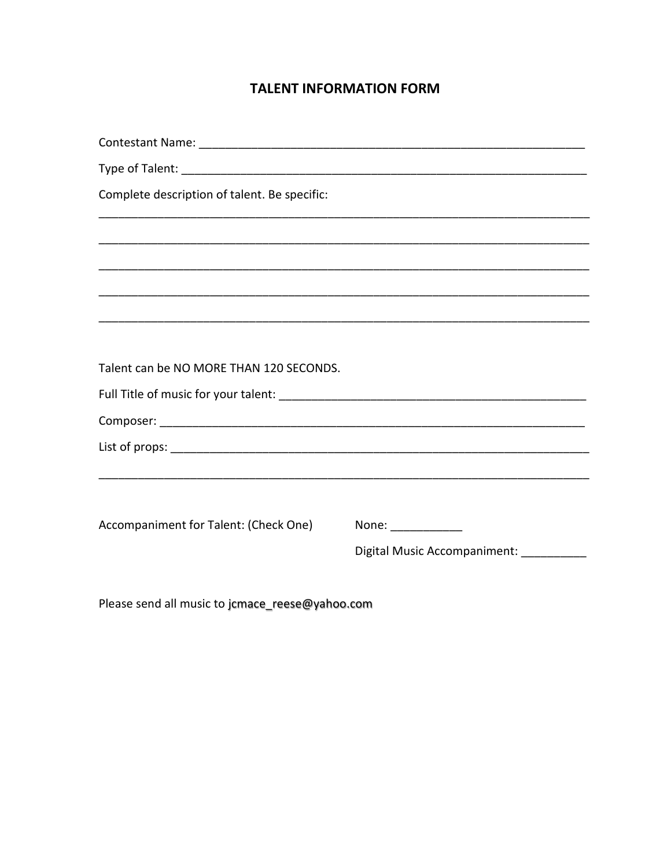#### **TALENT INFORMATION FORM**

| Complete description of talent. Be specific: |                                                                                                                                                                                                                                                                                                                                                                                                                                    |  |  |  |
|----------------------------------------------|------------------------------------------------------------------------------------------------------------------------------------------------------------------------------------------------------------------------------------------------------------------------------------------------------------------------------------------------------------------------------------------------------------------------------------|--|--|--|
|                                              |                                                                                                                                                                                                                                                                                                                                                                                                                                    |  |  |  |
|                                              |                                                                                                                                                                                                                                                                                                                                                                                                                                    |  |  |  |
|                                              |                                                                                                                                                                                                                                                                                                                                                                                                                                    |  |  |  |
|                                              |                                                                                                                                                                                                                                                                                                                                                                                                                                    |  |  |  |
|                                              |                                                                                                                                                                                                                                                                                                                                                                                                                                    |  |  |  |
| Talent can be NO MORE THAN 120 SECONDS.      |                                                                                                                                                                                                                                                                                                                                                                                                                                    |  |  |  |
|                                              |                                                                                                                                                                                                                                                                                                                                                                                                                                    |  |  |  |
|                                              |                                                                                                                                                                                                                                                                                                                                                                                                                                    |  |  |  |
|                                              |                                                                                                                                                                                                                                                                                                                                                                                                                                    |  |  |  |
|                                              |                                                                                                                                                                                                                                                                                                                                                                                                                                    |  |  |  |
|                                              |                                                                                                                                                                                                                                                                                                                                                                                                                                    |  |  |  |
| Accompaniment for Talent: (Check One)        | None: $\frac{1}{\sqrt{1-\frac{1}{2}}\cdot\sqrt{1-\frac{1}{2}}\cdot\sqrt{1-\frac{1}{2}}\cdot\sqrt{1-\frac{1}{2}}\cdot\sqrt{1-\frac{1}{2}}\cdot\sqrt{1-\frac{1}{2}}\cdot\sqrt{1-\frac{1}{2}}\cdot\sqrt{1-\frac{1}{2}}\cdot\sqrt{1-\frac{1}{2}}\cdot\sqrt{1-\frac{1}{2}}\cdot\sqrt{1-\frac{1}{2}}\cdot\sqrt{1-\frac{1}{2}}\cdot\sqrt{1-\frac{1}{2}}\cdot\sqrt{1-\frac{1}{2}}\cdot\sqrt{1-\frac{1}{2}}\cdot\sqrt{1-\frac{1}{2}}\cdot\$ |  |  |  |
|                                              | Digital Music Accompaniment: __________                                                                                                                                                                                                                                                                                                                                                                                            |  |  |  |
|                                              |                                                                                                                                                                                                                                                                                                                                                                                                                                    |  |  |  |

Please send all music to jcmace\_reese@yahoo.com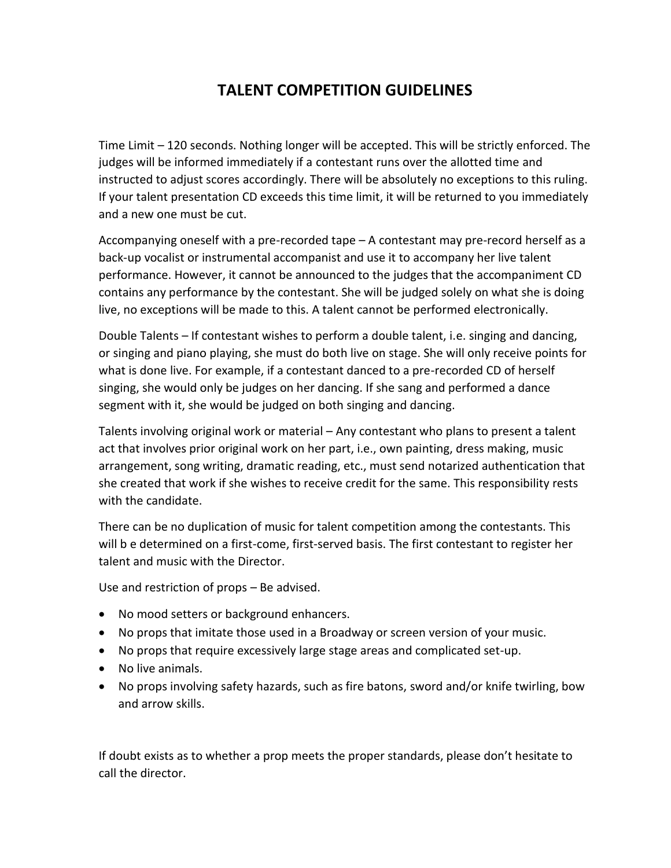## **TALENT COMPETITION GUIDELINES**

Time Limit – 120 seconds. Nothing longer will be accepted. This will be strictly enforced. The judges will be informed immediately if a contestant runs over the allotted time and instructed to adjust scores accordingly. There will be absolutely no exceptions to this ruling. If your talent presentation CD exceeds this time limit, it will be returned to you immediately and a new one must be cut.

Accompanying oneself with a pre-recorded tape – A contestant may pre-record herself as a back-up vocalist or instrumental accompanist and use it to accompany her live talent performance. However, it cannot be announced to the judges that the accompaniment CD contains any performance by the contestant. She will be judged solely on what she is doing live, no exceptions will be made to this. A talent cannot be performed electronically.

Double Talents – If contestant wishes to perform a double talent, i.e. singing and dancing, or singing and piano playing, she must do both live on stage. She will only receive points for what is done live. For example, if a contestant danced to a pre-recorded CD of herself singing, she would only be judges on her dancing. If she sang and performed a dance segment with it, she would be judged on both singing and dancing.

Talents involving original work or material – Any contestant who plans to present a talent act that involves prior original work on her part, i.e., own painting, dress making, music arrangement, song writing, dramatic reading, etc., must send notarized authentication that she created that work if she wishes to receive credit for the same. This responsibility rests with the candidate.

There can be no duplication of music for talent competition among the contestants. This will b e determined on a first-come, first-served basis. The first contestant to register her talent and music with the Director.

Use and restriction of props – Be advised.

- No mood setters or background enhancers.
- No props that imitate those used in a Broadway or screen version of your music.
- No props that require excessively large stage areas and complicated set-up.
- No live animals.
- No props involving safety hazards, such as fire batons, sword and/or knife twirling, bow and arrow skills.

If doubt exists as to whether a prop meets the proper standards, please don't hesitate to call the director.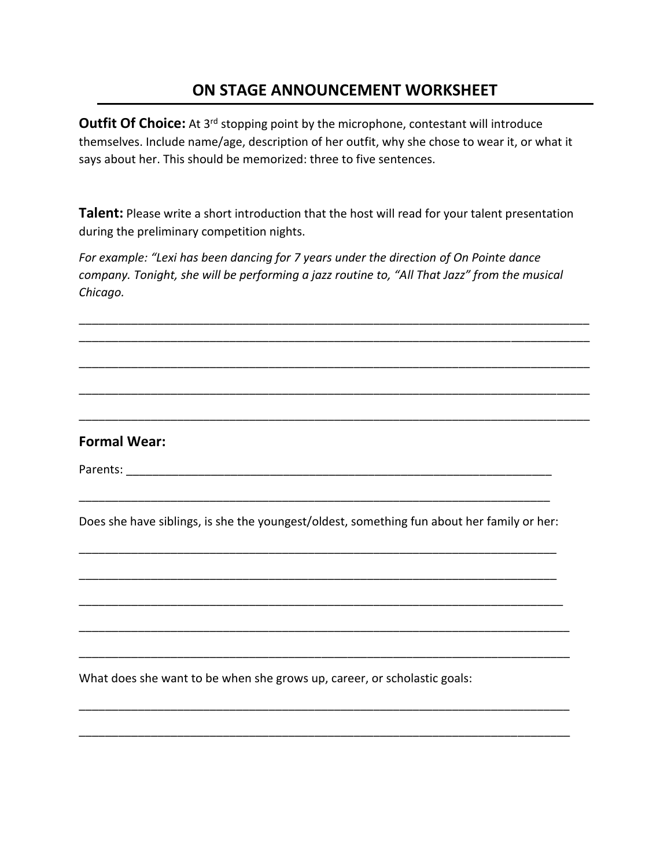**Outfit Of Choice:** At 3<sup>rd</sup> stopping point by the microphone, contestant will introduce themselves. Include name/age, description of her outfit, why she chose to wear it, or what it says about her. This should be memorized: three to five sentences.

**Talent:** Please write a short introduction that the host will read for your talent presentation during the preliminary competition nights.

*For example: "Lexi has been dancing for 7 years under the direction of On Pointe dance company. Tonight, she will be performing a jazz routine to, "All That Jazz" from the musical Chicago.* 



\_\_\_\_\_\_\_\_\_\_\_\_\_\_\_\_\_\_\_\_\_\_\_\_\_\_\_\_\_\_\_\_\_\_\_\_\_\_\_\_\_\_\_\_\_\_\_\_\_\_\_\_\_\_\_\_\_\_\_\_\_\_\_\_\_\_\_\_\_\_\_\_\_\_\_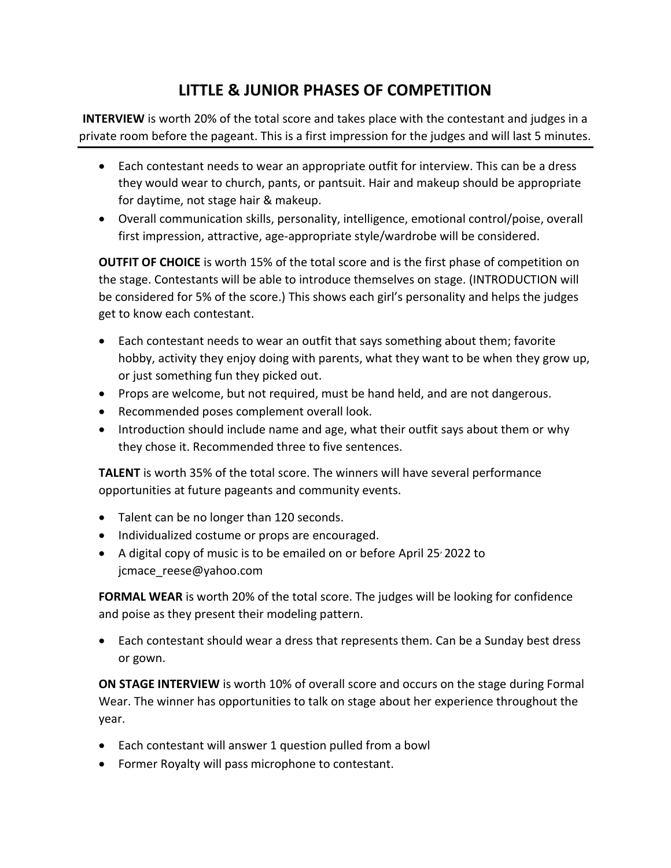## **LITTLE & JUNIOR PHASES OF COMPETITION**

**INTERVIEW** is worth 20% of the total score and takes place with the contestant and judges in a private room before the pageant. This is a first impression for the judges and will last 5 minutes.

- Each contestant needs to wear an appropriate outfit for interview. This can be a dress they would wear to church, pants, or pantsuit. Hair and makeup should be appropriate for daytime, not stage hair & makeup.
- Overall communication skills, personality, intelligence, emotional control/poise, overall first impression, attractive, age-appropriate style/wardrobe will be considered.

**OUTFIT OF CHOICE** is worth 15% of the total score and is the first phase of competition on the stage. Contestants will be able to introduce themselves on stage. (INTRODUCTION will be considered for 5% of the score.) This shows each girl's personality and helps the judges get to know each contestant.

- Each contestant needs to wear an outfit that says something about them; favorite hobby, activity they enjoy doing with parents, what they want to be when they grow up, or just something fun they picked out.
- Props are welcome, but not required, must be hand held, and are not dangerous.
- Recommended poses complement overall look.
- Introduction should include name and age, what their outfit says about them or why they chose it. Recommended three to five sentences.

**TALENT** is worth 35% of the total score. The winners will have several performance opportunities at future pageants and community events.

- Talent can be no longer than 120 seconds.
- Individualized costume or props are encouraged.
- A digital copy of music is to be emailed on or before April 25<sup>,</sup> 2022 to jcmace reese@yahoo.com

**FORMAL WEAR** is worth 20% of the total score. The judges will be looking for confidence and poise as they present their modeling pattern.

• Each contestant should wear a dress that represents them. Can be a Sunday best dress or gown.

**ON STAGE INTERVIEW** is worth 10% of overall score and occurs on the stage during Formal Wear. The winner has opportunities to talk on stage about her experience throughout the year.

- Each contestant will answer 1 question pulled from a bowl
- Former Royalty will pass microphone to contestant.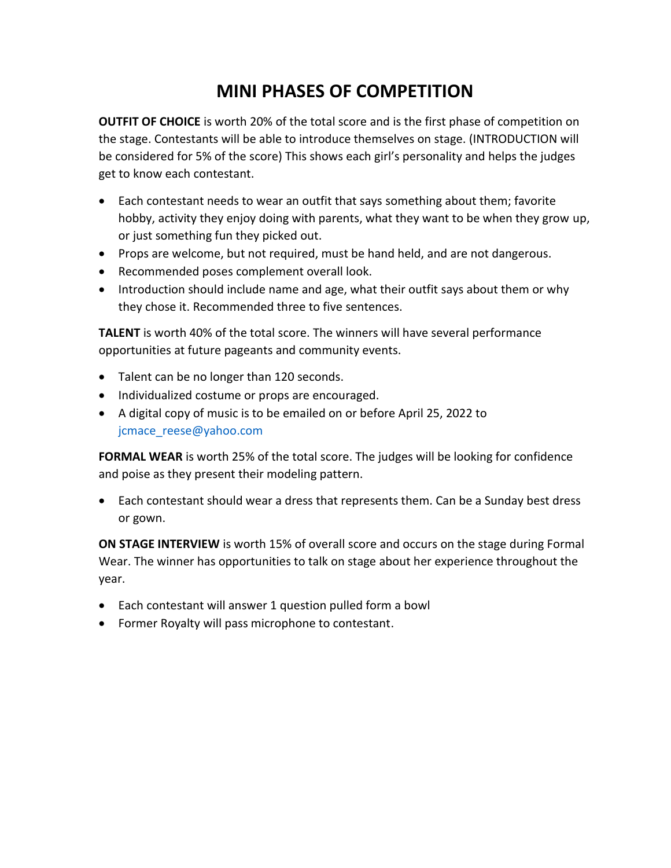# **MINI PHASES OF COMPETITION**

**OUTFIT OF CHOICE** is worth 20% of the total score and is the first phase of competition on the stage. Contestants will be able to introduce themselves on stage. (INTRODUCTION will be considered for 5% of the score) This shows each girl's personality and helps the judges get to know each contestant.

- Each contestant needs to wear an outfit that says something about them; favorite hobby, activity they enjoy doing with parents, what they want to be when they grow up, or just something fun they picked out.
- Props are welcome, but not required, must be hand held, and are not dangerous.
- Recommended poses complement overall look.
- Introduction should include name and age, what their outfit says about them or why they chose it. Recommended three to five sentences.

**TALENT** is worth 40% of the total score. The winners will have several performance opportunities at future pageants and community events.

- Talent can be no longer than 120 seconds.
- Individualized costume or props are encouraged.
- A digital copy of music is to be emailed on or before April 25, 2022 to [jcmace\\_reese@yahoo.com](mailto:jcmace_reese@yahoo.com)

**FORMAL WEAR** is worth 25% of the total score. The judges will be looking for confidence and poise as they present their modeling pattern.

• Each contestant should wear a dress that represents them. Can be a Sunday best dress or gown.

**ON STAGE INTERVIEW** is worth 15% of overall score and occurs on the stage during Formal Wear. The winner has opportunities to talk on stage about her experience throughout the year.

- Each contestant will answer 1 question pulled form a bowl
- Former Royalty will pass microphone to contestant.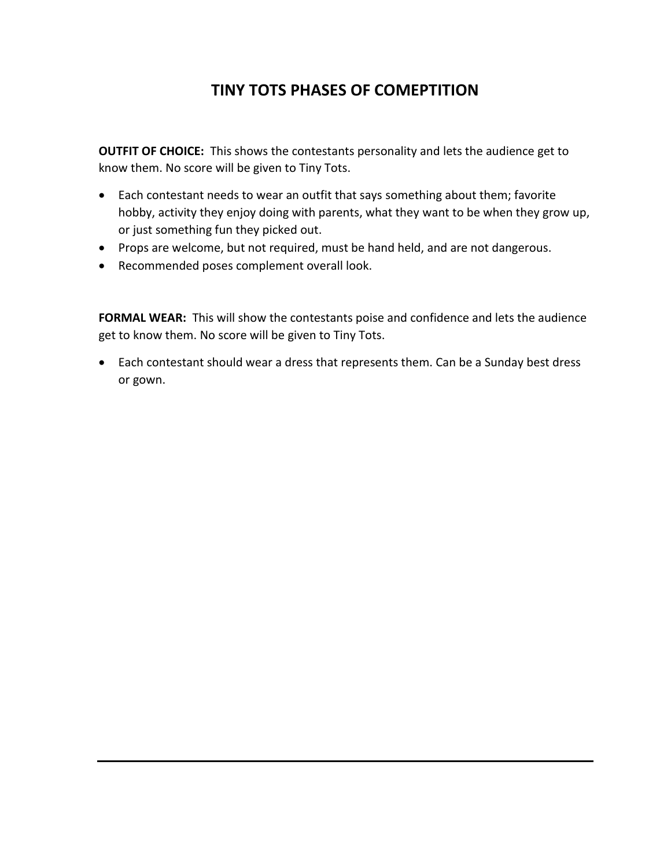## **TINY TOTS PHASES OF COMEPTITION**

**OUTFIT OF CHOICE:** This shows the contestants personality and lets the audience get to know them. No score will be given to Tiny Tots.

- Each contestant needs to wear an outfit that says something about them; favorite hobby, activity they enjoy doing with parents, what they want to be when they grow up, or just something fun they picked out.
- Props are welcome, but not required, must be hand held, and are not dangerous.
- Recommended poses complement overall look.

**FORMAL WEAR:** This will show the contestants poise and confidence and lets the audience get to know them. No score will be given to Tiny Tots.

• Each contestant should wear a dress that represents them. Can be a Sunday best dress or gown.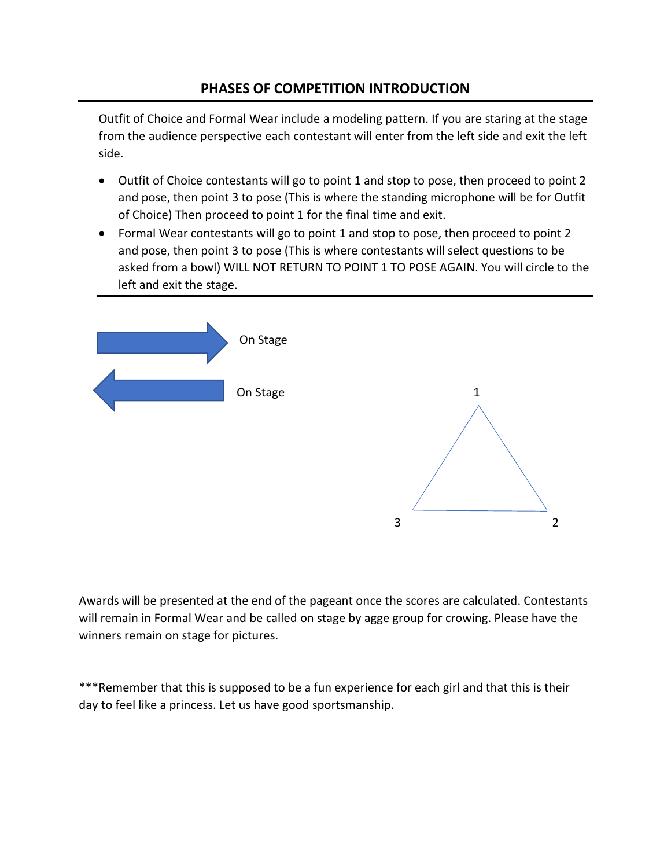#### **PHASES OF COMPETITION INTRODUCTION**

Outfit of Choice and Formal Wear include a modeling pattern. If you are staring at the stage from the audience perspective each contestant will enter from the left side and exit the left side.

- Outfit of Choice contestants will go to point 1 and stop to pose, then proceed to point 2 and pose, then point 3 to pose (This is where the standing microphone will be for Outfit of Choice) Then proceed to point 1 for the final time and exit.
- Formal Wear contestants will go to point 1 and stop to pose, then proceed to point 2 and pose, then point 3 to pose (This is where contestants will select questions to be asked from a bowl) WILL NOT RETURN TO POINT 1 TO POSE AGAIN. You will circle to the left and exit the stage.



Awards will be presented at the end of the pageant once the scores are calculated. Contestants will remain in Formal Wear and be called on stage by agge group for crowing. Please have the winners remain on stage for pictures.

\*\*\*Remember that this is supposed to be a fun experience for each girl and that this is their day to feel like a princess. Let us have good sportsmanship.